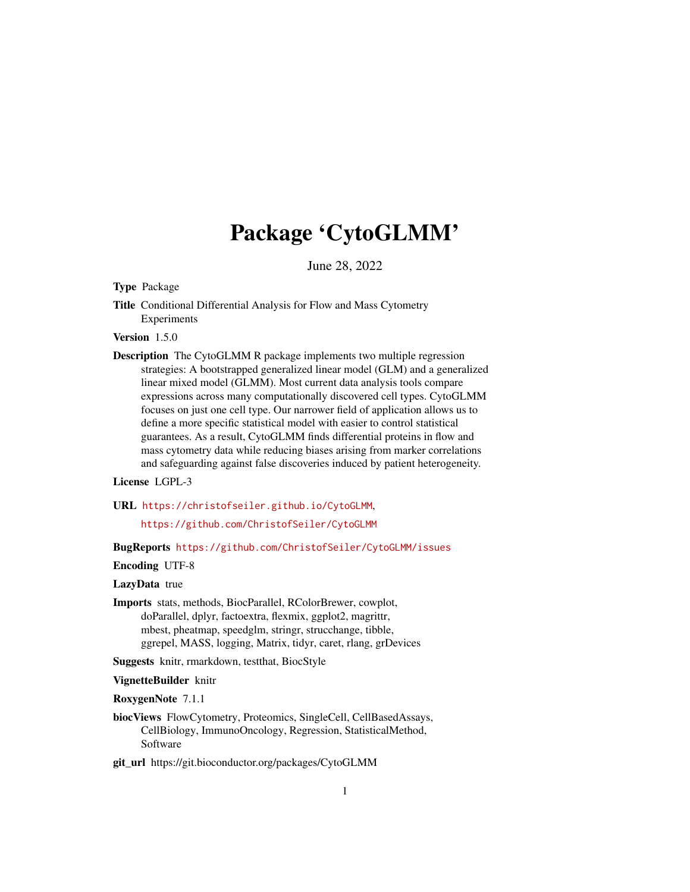# Package 'CytoGLMM'

June 28, 2022

<span id="page-0-0"></span>Type Package

Title Conditional Differential Analysis for Flow and Mass Cytometry Experiments

Version 1.5.0

Description The CytoGLMM R package implements two multiple regression strategies: A bootstrapped generalized linear model (GLM) and a generalized linear mixed model (GLMM). Most current data analysis tools compare expressions across many computationally discovered cell types. CytoGLMM focuses on just one cell type. Our narrower field of application allows us to define a more specific statistical model with easier to control statistical guarantees. As a result, CytoGLMM finds differential proteins in flow and mass cytometry data while reducing biases arising from marker correlations and safeguarding against false discoveries induced by patient heterogeneity.

# License LGPL-3

URL <https://christofseiler.github.io/CytoGLMM>,

<https://github.com/ChristofSeiler/CytoGLMM>

BugReports <https://github.com/ChristofSeiler/CytoGLMM/issues>

Encoding UTF-8

LazyData true

Imports stats, methods, BiocParallel, RColorBrewer, cowplot, doParallel, dplyr, factoextra, flexmix, ggplot2, magrittr, mbest, pheatmap, speedglm, stringr, strucchange, tibble, ggrepel, MASS, logging, Matrix, tidyr, caret, rlang, grDevices

Suggests knitr, rmarkdown, testthat, BiocStyle

VignetteBuilder knitr

RoxygenNote 7.1.1

biocViews FlowCytometry, Proteomics, SingleCell, CellBasedAssays, CellBiology, ImmunoOncology, Regression, StatisticalMethod, Software

git\_url https://git.bioconductor.org/packages/CytoGLMM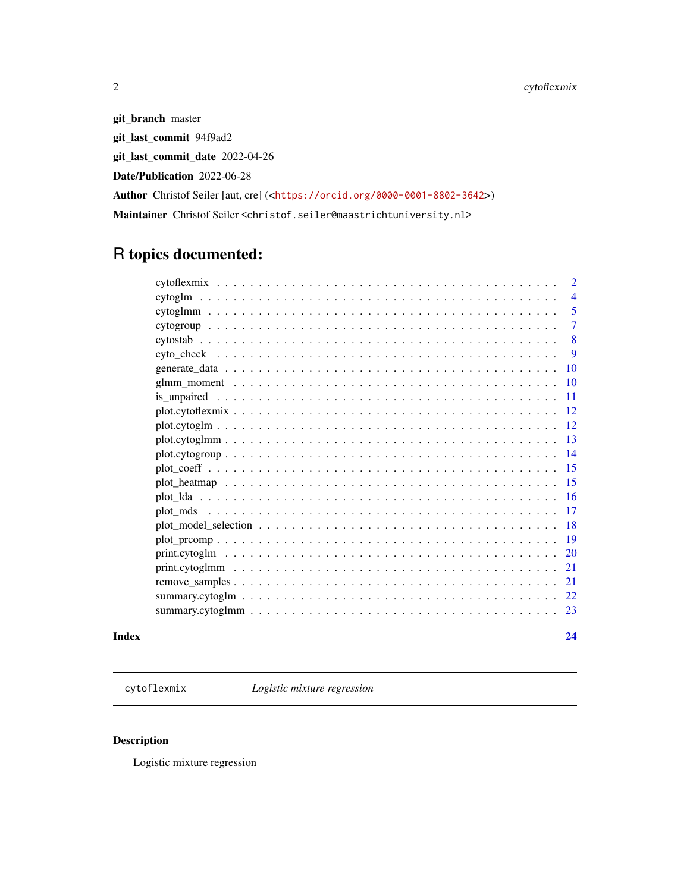<span id="page-1-0"></span>git\_branch master git\_last\_commit 94f9ad2 git\_last\_commit\_date 2022-04-26 Date/Publication 2022-06-28 Author Christof Seiler [aut, cre] (<<https://orcid.org/0000-0001-8802-3642>>) Maintainer Christof Seiler <christof.seiler@maastrichtuniversity.nl>

# R topics documented:

|                    | $\overline{2}$ |
|--------------------|----------------|
|                    | $\overline{4}$ |
|                    | 5              |
|                    | 7              |
|                    | 8              |
|                    | 9              |
|                    | 10             |
|                    | 10             |
|                    | 11             |
| $plot.cytoflexmix$ | 12             |
|                    | 12             |
| $plot.cytoglmm$    | 13             |
|                    | 14             |
|                    | 15             |
|                    | 15             |
|                    | -16            |
|                    | 17             |
|                    | 18             |
|                    |                |
|                    | 20             |
|                    | 21             |
|                    | 21             |
|                    | 22             |
|                    | 23             |
|                    |                |

#### **Index** [24](#page-23-0)

cytoflexmix *Logistic mixture regression*

# Description

Logistic mixture regression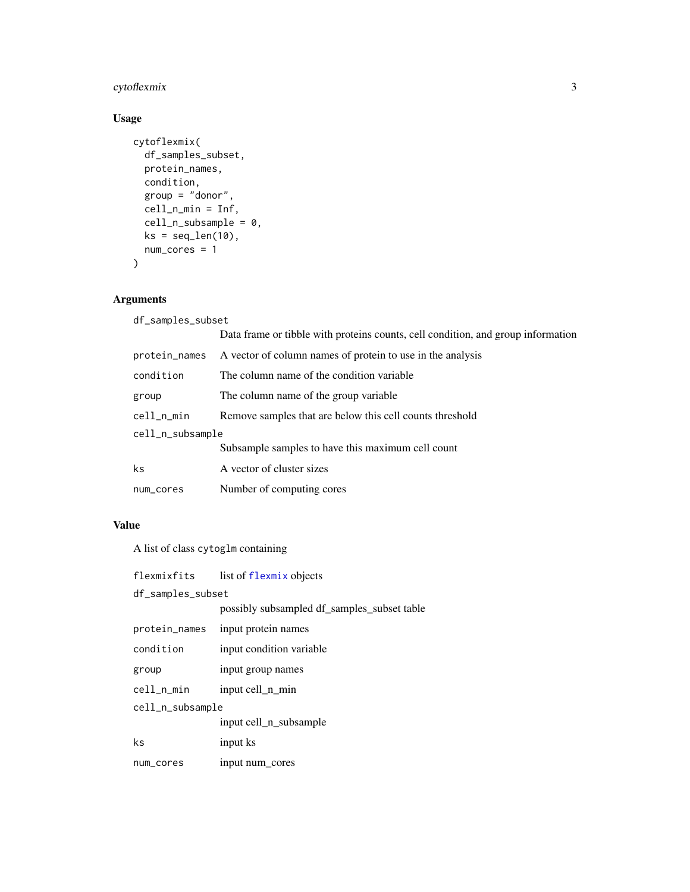# <span id="page-2-0"></span>cytoflexmix 3

# Usage

```
cytoflexmix(
  df_samples_subset,
  protein_names,
  condition,
  group = "donor",
  cell_n_min = Inf,
  cell_n_subsample = 0,
  ks = seq\_len(10),
  num_cores = 1
)
```
# Arguments

| df_samples_subset |                                                                                  |  |
|-------------------|----------------------------------------------------------------------------------|--|
|                   | Data frame or tibble with proteins counts, cell condition, and group information |  |
| protein_names     | A vector of column names of protein to use in the analysis                       |  |
| condition         | The column name of the condition variable                                        |  |
| group             | The column name of the group variable.                                           |  |
| cell_n_min        | Remove samples that are below this cell counts threshold                         |  |
| cell_n_subsample  |                                                                                  |  |
|                   | Subsample samples to have this maximum cell count                                |  |
| ks.               | A vector of cluster sizes                                                        |  |
| num_cores         | Number of computing cores                                                        |  |
|                   |                                                                                  |  |

# Value

A list of class cytoglm containing

| flexmixfits       | list of flexmix objects                     |  |
|-------------------|---------------------------------------------|--|
| df_samples_subset |                                             |  |
|                   | possibly subsampled df_samples_subset table |  |
| protein_names     | input protein names                         |  |
| condition         | input condition variable                    |  |
| group             | input group names                           |  |
| cell_n_min        | input cell n min                            |  |
| cell_n_subsample  |                                             |  |
|                   | input cell n subsample                      |  |
| ks                | input ks                                    |  |
| num_cores         | input num cores                             |  |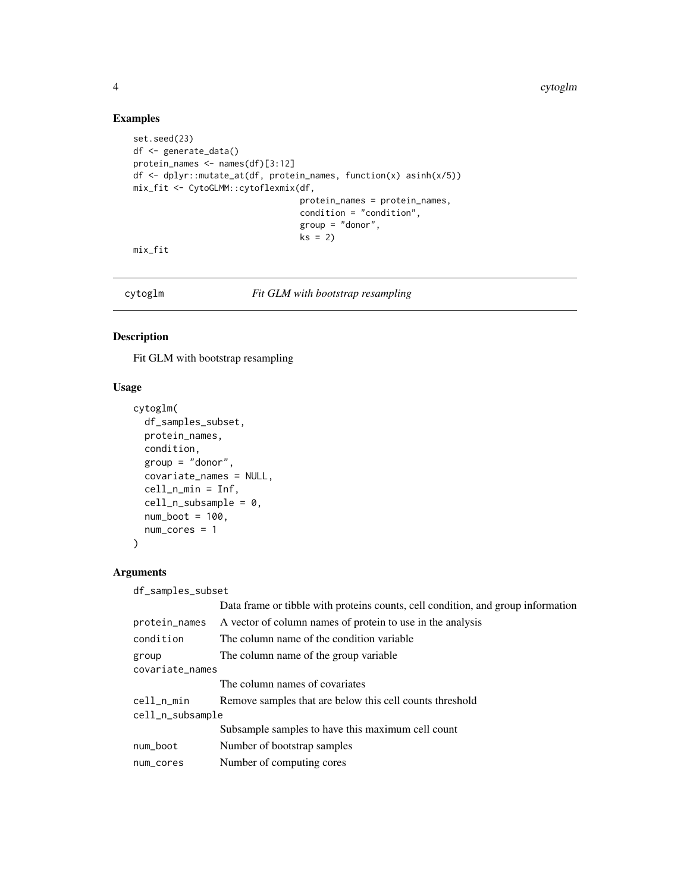#### Examples

```
set.seed(23)
df <- generate_data()
protein_names <- names(df)[3:12]
df <- dplyr::mutate_at(df, protein_names, function(x) asinh(x/5))
mix_fit <- CytoGLMM::cytoflexmix(df,
                                 protein_names = protein_names,
                                 condition = "condition",
                                 group = "donor",ks = 2)
```
mix\_fit

cytoglm *Fit GLM with bootstrap resampling*

# Description

Fit GLM with bootstrap resampling

#### Usage

```
cytoglm(
  df_samples_subset,
 protein_names,
 condition,
  group = "donor",
  covariate_names = NULL,
 cell_n_min = Inf,
  cell_n_subsample = 0,
 num\_boot = 100,
 num_cores = 1
)
```
#### Arguments

df\_samples\_subset

|                  | Data frame or tibble with proteins counts, cell condition, and group information |
|------------------|----------------------------------------------------------------------------------|
| protein_names    | A vector of column names of protein to use in the analysis                       |
| condition        | The column name of the condition variable                                        |
| group            | The column name of the group variable.                                           |
| covariate_names  |                                                                                  |
|                  | The column names of covariates                                                   |
| cell_n_min       | Remove samples that are below this cell counts threshold                         |
| cell_n_subsample |                                                                                  |
|                  | Subsample samples to have this maximum cell count                                |
| num_boot         | Number of bootstrap samples                                                      |
| num_cores        | Number of computing cores                                                        |
|                  |                                                                                  |

<span id="page-3-0"></span>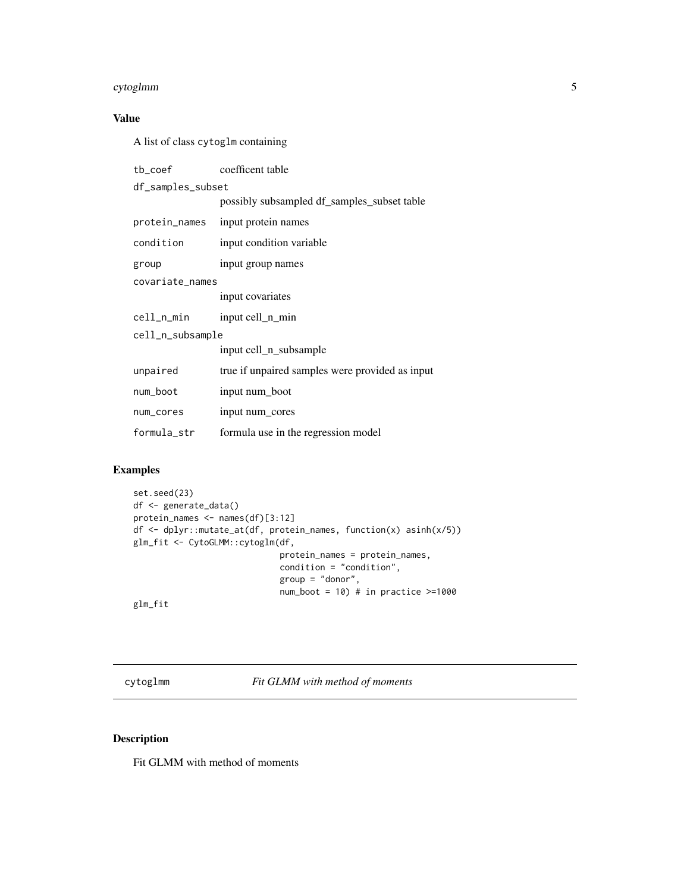#### <span id="page-4-0"></span>cytoglmm 5

# Value

A list of class cytoglm containing

| tb coef           | coefficent table                                |  |
|-------------------|-------------------------------------------------|--|
| df_samples_subset |                                                 |  |
|                   | possibly subsampled df_samples_subset table     |  |
| protein_names     | input protein names                             |  |
| condition         | input condition variable                        |  |
| group             | input group names                               |  |
| covariate_names   |                                                 |  |
|                   | input covariates                                |  |
| cell_n_min        | input cell_n_min                                |  |
| cell_n_subsample  |                                                 |  |
|                   | input cell_n_subsample                          |  |
| unpaired          | true if unpaired samples were provided as input |  |
| num_boot          | input num boot                                  |  |
| num_cores         | input num_cores                                 |  |
| formula str       | formula use in the regression model             |  |

# Examples

```
set.seed(23)
df <- generate_data()
protein_names <- names(df)[3:12]
df <- dplyr::mutate_at(df, protein_names, function(x) asinh(x/5))
glm_fit <- CytoGLMM::cytoglm(df,
                             protein_names = protein_names,
                             condition = "condition",
                             group = "donor",
                             num\_boot = 10) # in practice \geq 1000
```
glm\_fit

cytoglmm *Fit GLMM with method of moments*

# Description

Fit GLMM with method of moments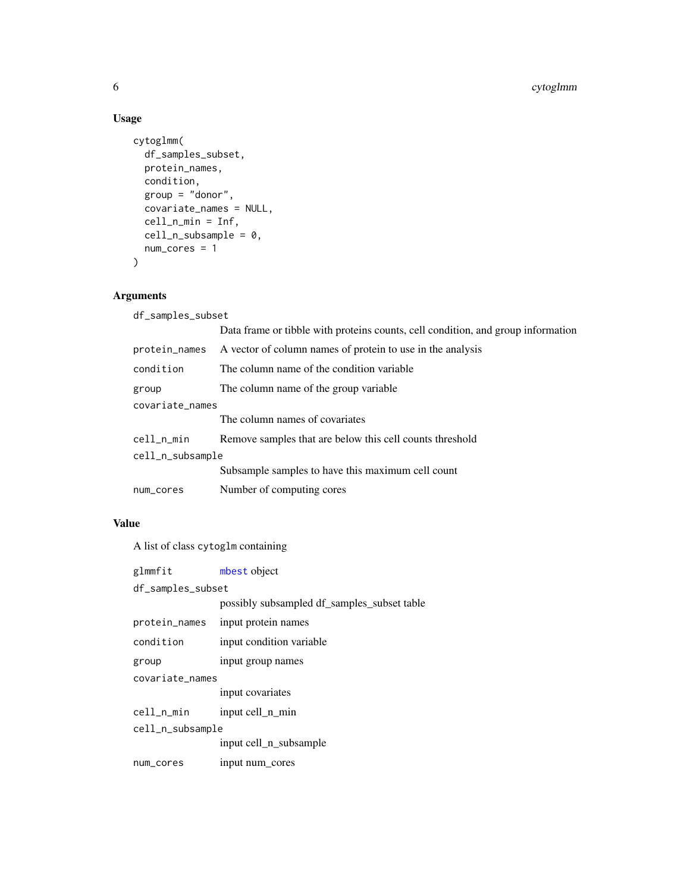# Usage

```
cytoglmm(
  df_samples_subset,
  protein_names,
  condition,
  group = "donor",
  covariate_names = NULL,
  cell_n_min = Inf,
  cell_n_subsample = 0,
  num_cores = 1
\mathcal{L}
```
# Arguments

| df_samples_subset |               |                                                                                  |
|-------------------|---------------|----------------------------------------------------------------------------------|
|                   |               | Data frame or tibble with proteins counts, cell condition, and group information |
|                   | protein_names | A vector of column names of protein to use in the analysis                       |
|                   | condition     | The column name of the condition variable                                        |
|                   | group         | The column name of the group variable.                                           |
| covariate_names   |               |                                                                                  |
|                   |               | The column names of covariates                                                   |
|                   | cell_n_min    | Remove samples that are below this cell counts threshold                         |
| cell_n_subsample  |               |                                                                                  |
|                   |               | Subsample samples to have this maximum cell count                                |
|                   | num_cores     | Number of computing cores                                                        |
|                   |               |                                                                                  |

# Value

A list of class cytoglm containing

| glmmfit           | mbest object                                |  |
|-------------------|---------------------------------------------|--|
| df_samples_subset |                                             |  |
|                   | possibly subsampled df_samples_subset table |  |
| protein_names     | input protein names                         |  |
| condition         | input condition variable                    |  |
| group             | input group names                           |  |
| covariate names   |                                             |  |
|                   | input covariates                            |  |
| cell_n_min        | input cell n min                            |  |
| cell_n_subsample  |                                             |  |
|                   | input cell_n_subsample                      |  |
| num_cores         | input num cores                             |  |

<span id="page-5-0"></span>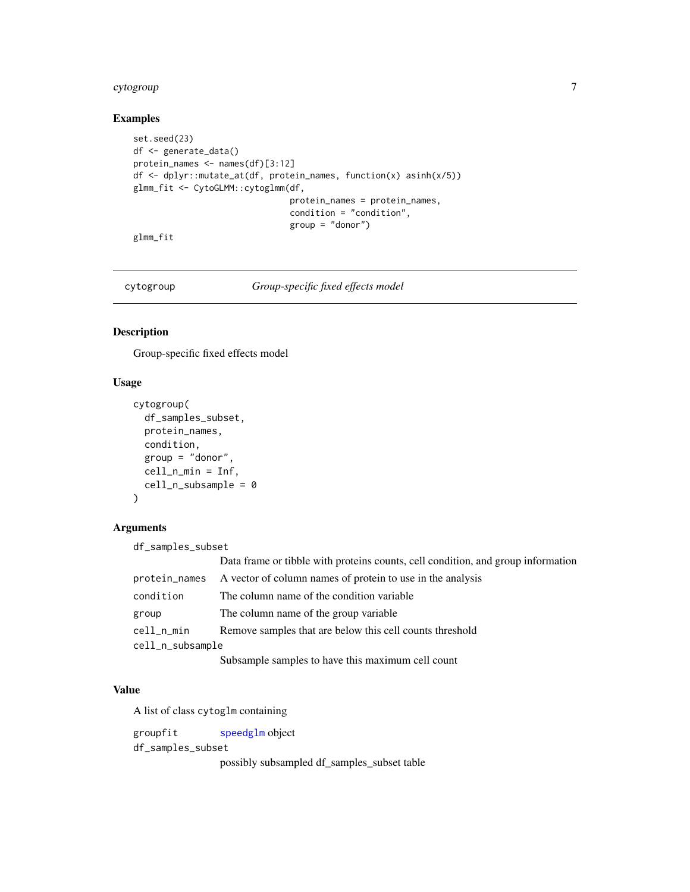#### <span id="page-6-0"></span>cytogroup **7** and 2000 and 2000 and 2000 and 2000 and 2000 and 2000 and 2000 and 2000 and 2000 and 2000 and 200

# Examples

```
set.seed(23)
df <- generate_data()
protein_names <- names(df)[3:12]
df <- dplyr::mutate_at(df, protein_names, function(x) asinh(x/5))
glmm_fit <- CytoGLMM::cytoglmm(df,
                               protein_names = protein_names,
                               condition = "condition",
                               group = "donor")
```
glmm\_fit

cytogroup *Group-specific fixed effects model*

#### Description

Group-specific fixed effects model

#### Usage

```
cytogroup(
  df_samples_subset,
  protein_names,
  condition,
  group = "donor",
  cell_n_min = Inf,
  cell_n_subsample = 0
\mathcal{E}
```
#### Arguments

df\_samples\_subset

|                  | Data frame or tibble with proteins counts, cell condition, and group information |
|------------------|----------------------------------------------------------------------------------|
| protein_names    | A vector of column names of protein to use in the analysis                       |
| condition        | The column name of the condition variable                                        |
| group            | The column name of the group variable.                                           |
| cell_n_min       | Remove samples that are below this cell counts threshold                         |
| cell_n_subsample |                                                                                  |
|                  | Subsample samples to have this maximum cell count                                |

#### Value

A list of class cytoglm containing

groupfit [speedglm](#page-0-0) object df\_samples\_subset possibly subsampled df\_samples\_subset table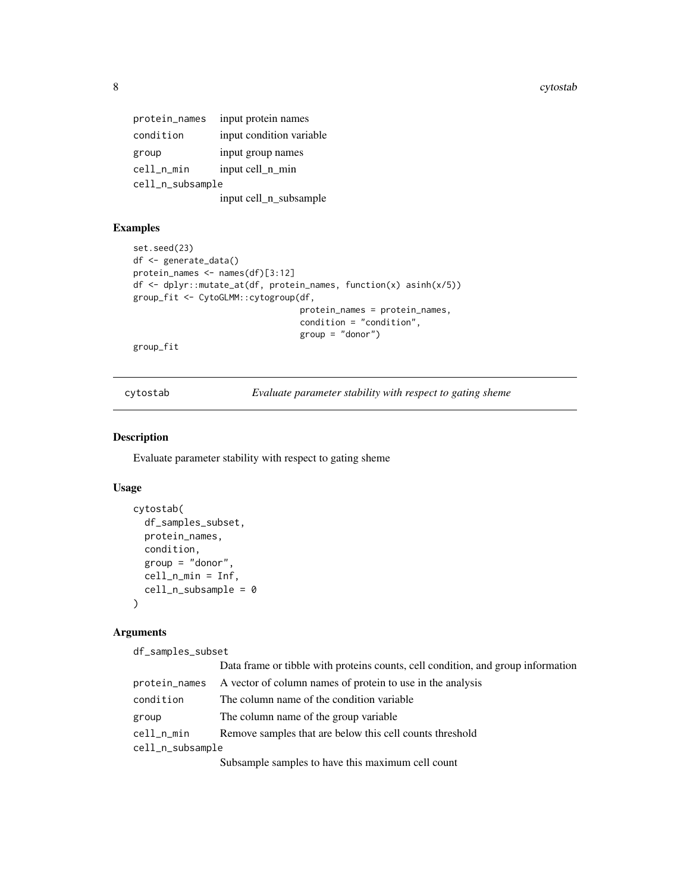<span id="page-7-0"></span>8 cytostab

| protein_names    | input protein names      |
|------------------|--------------------------|
| condition        | input condition variable |
| group            | input group names        |
| cell_n_min       | input cell_n_min         |
| cell_n_subsample |                          |
|                  | input cell_n_subsample   |

# Examples

```
set.seed(23)
df <- generate_data()
protein_names <- names(df)[3:12]
df <- dplyr::mutate_at(df, protein_names, function(x) asinh(x/5))
group_fit <- CytoGLMM::cytogroup(df,
                                 protein_names = protein_names,
                                 condition = "condition",
                                 group = "donor")
```
group\_fit

cytostab *Evaluate parameter stability with respect to gating sheme*

#### Description

Evaluate parameter stability with respect to gating sheme

#### Usage

```
cytostab(
  df_samples_subset,
  protein_names,
  condition,
  group = "donor",
  cell_n_min = Inf,
  cell_n_subsample = 0
\lambda
```
# Arguments

df\_samples\_subset

|                  | Data frame or tibble with proteins counts, cell condition, and group information |  |
|------------------|----------------------------------------------------------------------------------|--|
| protein_names    | A vector of column names of protein to use in the analysis                       |  |
| condition        | The column name of the condition variable.                                       |  |
| group            | The column name of the group variable                                            |  |
| cell_n_min       | Remove samples that are below this cell counts threshold                         |  |
| cell_n_subsample |                                                                                  |  |
|                  | Subsample samples to have this maximum cell count                                |  |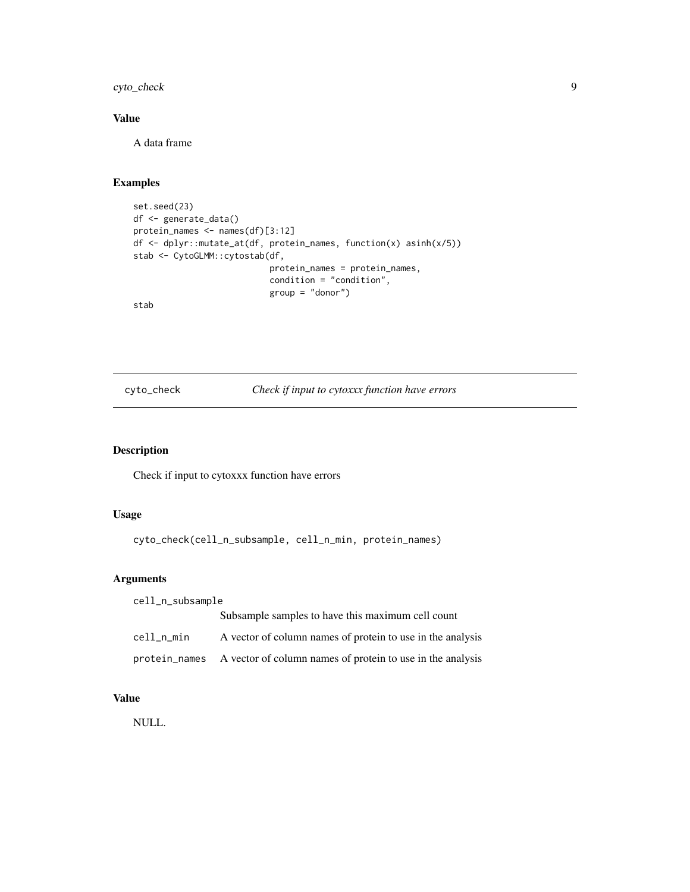<span id="page-8-0"></span>cyto\_check 9

# Value

A data frame

# Examples

```
set.seed(23)
df <- generate_data()
protein_names <- names(df)[3:12]
df <- dplyr::mutate_at(df, protein_names, function(x) asinh(x/5))
stab <- CytoGLMM::cytostab(df,
                           protein_names = protein_names,
                           condition = "condition",
                           group = "donor")
```
stab

cyto\_check *Check if input to cytoxxx function have errors*

# Description

Check if input to cytoxxx function have errors

#### Usage

cyto\_check(cell\_n\_subsample, cell\_n\_min, protein\_names)

#### Arguments

| cell_n_subsample |                                                                          |  |
|------------------|--------------------------------------------------------------------------|--|
|                  | Subsample samples to have this maximum cell count                        |  |
| cell_n_min       | A vector of column names of protein to use in the analysis               |  |
|                  | protein_names A vector of column names of protein to use in the analysis |  |

# Value

NULL.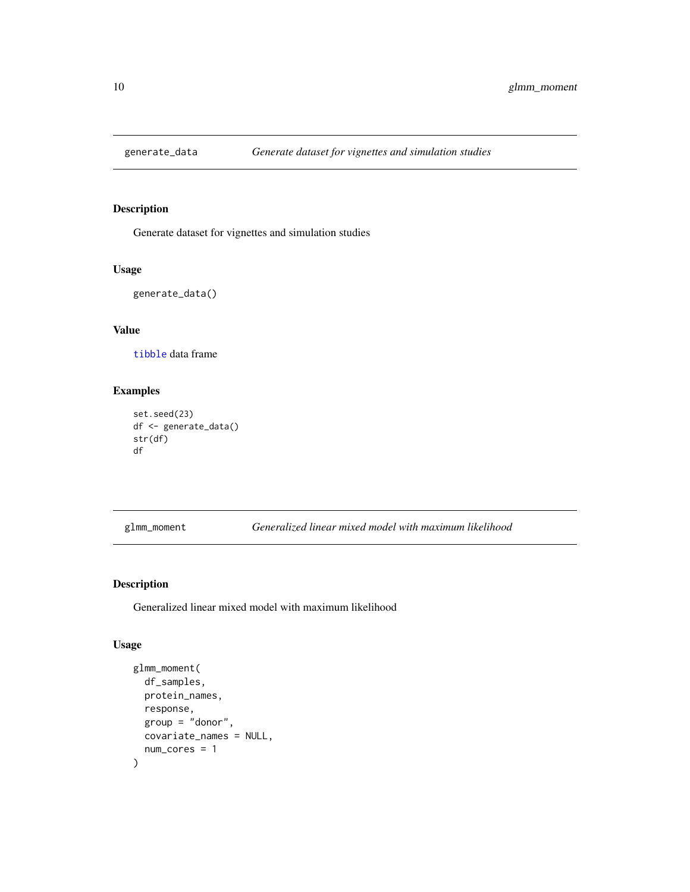<span id="page-9-0"></span>

# Description

Generate dataset for vignettes and simulation studies

#### Usage

```
generate_data()
```
# Value

[tibble](#page-0-0) data frame

# Examples

```
set.seed(23)
df <- generate_data()
str(df)
df
```
glmm\_moment *Generalized linear mixed model with maximum likelihood*

# Description

Generalized linear mixed model with maximum likelihood

#### Usage

```
glmm_moment(
  df_samples,
  protein_names,
  response,
  group = "donor",
  covariate_names = NULL,
  num_cores = 1
\mathcal{E}
```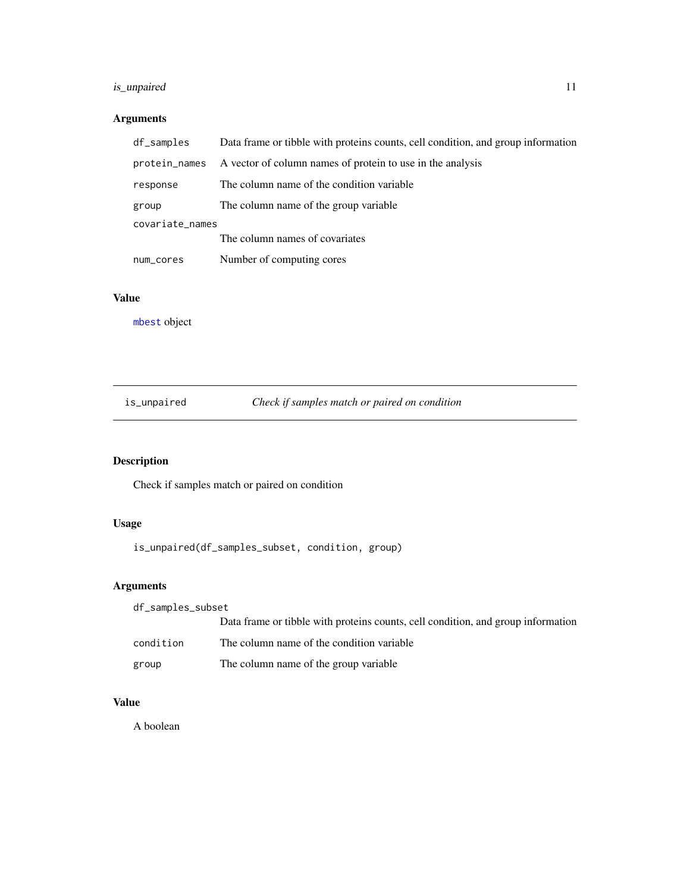# <span id="page-10-0"></span>is\_unpaired 11

# Arguments

| df_samples      | Data frame or tibble with proteins counts, cell condition, and group information |  |
|-----------------|----------------------------------------------------------------------------------|--|
| protein_names   | A vector of column names of protein to use in the analysis                       |  |
| response        | The column name of the condition variable.                                       |  |
| group           | The column name of the group variable                                            |  |
| covariate_names |                                                                                  |  |
|                 | The column names of covariates                                                   |  |
| num_cores       | Number of computing cores                                                        |  |

### Value

[mbest](#page-0-0) object

is\_unpaired *Check if samples match or paired on condition*

# Description

Check if samples match or paired on condition

# Usage

is\_unpaired(df\_samples\_subset, condition, group)

# Arguments

| df_samples_subset |                                                                                  |
|-------------------|----------------------------------------------------------------------------------|
|                   | Data frame or tibble with proteins counts, cell condition, and group information |
| condition         | The column name of the condition variable                                        |
| group             | The column name of the group variable                                            |

# Value

A boolean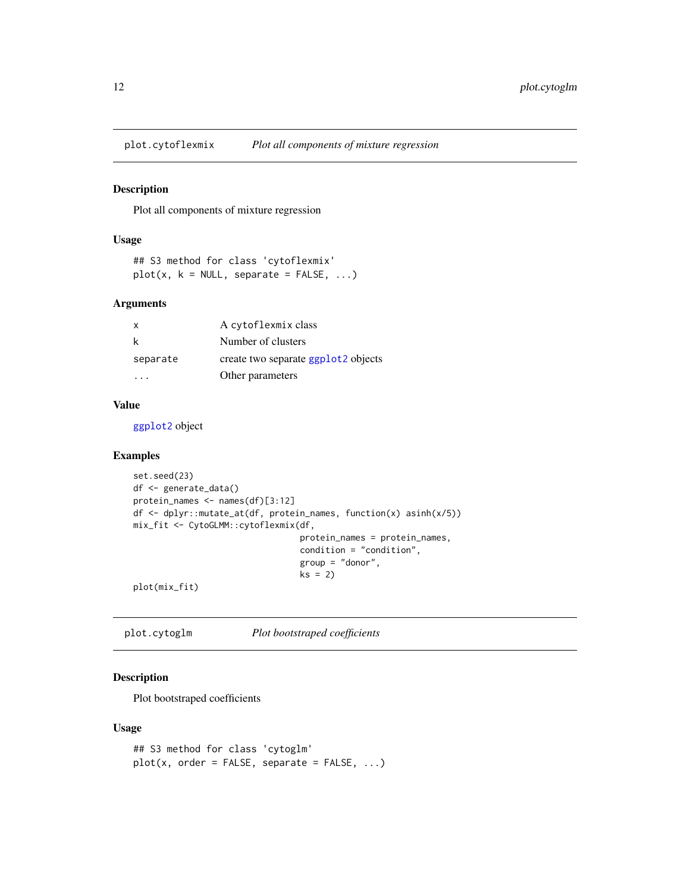<span id="page-11-0"></span>

#### Description

Plot all components of mixture regression

#### Usage

```
## S3 method for class 'cytoflexmix'
plot(x, k = NULL, separate = FALSE, ...)
```
#### Arguments

| x        | A cytoflexmix class                             |
|----------|-------------------------------------------------|
| k        | Number of clusters                              |
| separate | create two separate ggplot <sub>2</sub> objects |
|          | Other parameters                                |

#### Value

[ggplot2](#page-0-0) object

# Examples

```
set.seed(23)
df <- generate_data()
protein_names <- names(df)[3:12]
df <- dplyr::mutate_at(df, protein_names, function(x) asinh(x/5))
mix_fit <- CytoGLMM::cytoflexmix(df,
                                 protein_names = protein_names,
                                 condition = "condition",
                                 group = "donor",
                                 ks = 2)
```
plot(mix\_fit)

plot.cytoglm *Plot bootstraped coefficients*

# Description

Plot bootstraped coefficients

#### Usage

```
## S3 method for class 'cytoglm'
plot(x, order = FALSE, separate = FALSE, ...)
```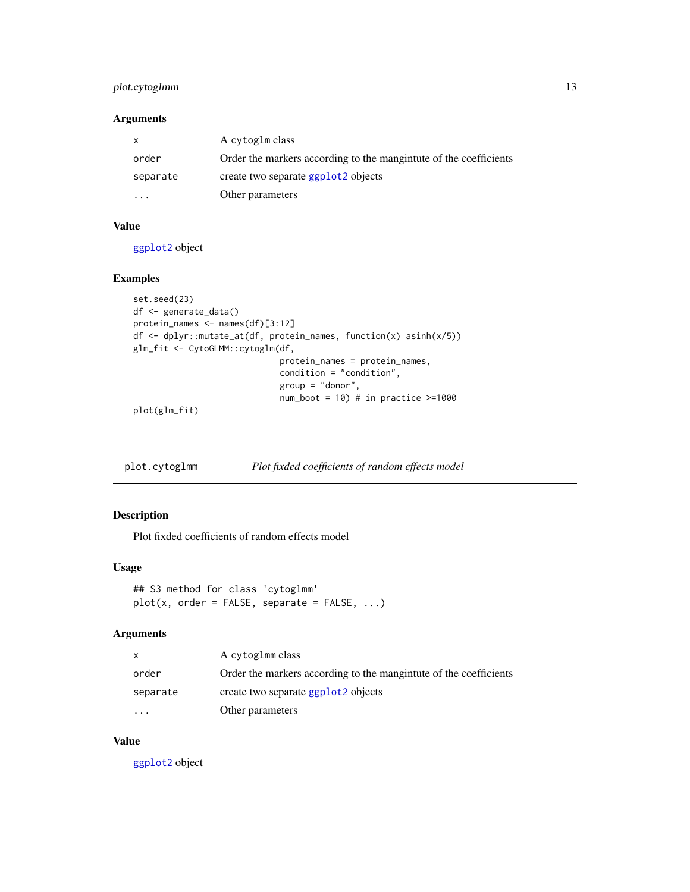# <span id="page-12-0"></span>plot.cytoglmm 13

# Arguments

| $\mathsf{X}$ | A cytoglm class                                                   |
|--------------|-------------------------------------------------------------------|
| order        | Order the markers according to the mangintute of the coefficients |
| separate     | create two separate ggplot <sub>2</sub> objects                   |
|              | Other parameters                                                  |

#### Value

[ggplot2](#page-0-0) object

# Examples

```
set.seed(23)
df <- generate_data()
protein_names <- names(df)[3:12]
df <- dplyr::mutate_at(df, protein_names, function(x) asinh(x/5))
glm_fit <- CytoGLMM::cytoglm(df,
                             protein_names = protein_names,
                             condition = "condition",
                             group = "donor",
                             num\_boot = 10) # in practice >=1000
```
plot(glm\_fit)

plot.cytoglmm *Plot fixded coefficients of random effects model*

# Description

Plot fixded coefficients of random effects model

#### Usage

```
## S3 method for class 'cytoglmm'
plot(x, order = FALSE, separate = FALSE, ...)
```
#### Arguments

|           | A cytoglmm class                                                  |
|-----------|-------------------------------------------------------------------|
| order     | Order the markers according to the mangintute of the coefficients |
| separate  | create two separate ggplot <sub>2</sub> objects                   |
| $\ddotsc$ | Other parameters                                                  |

# Value

[ggplot2](#page-0-0) object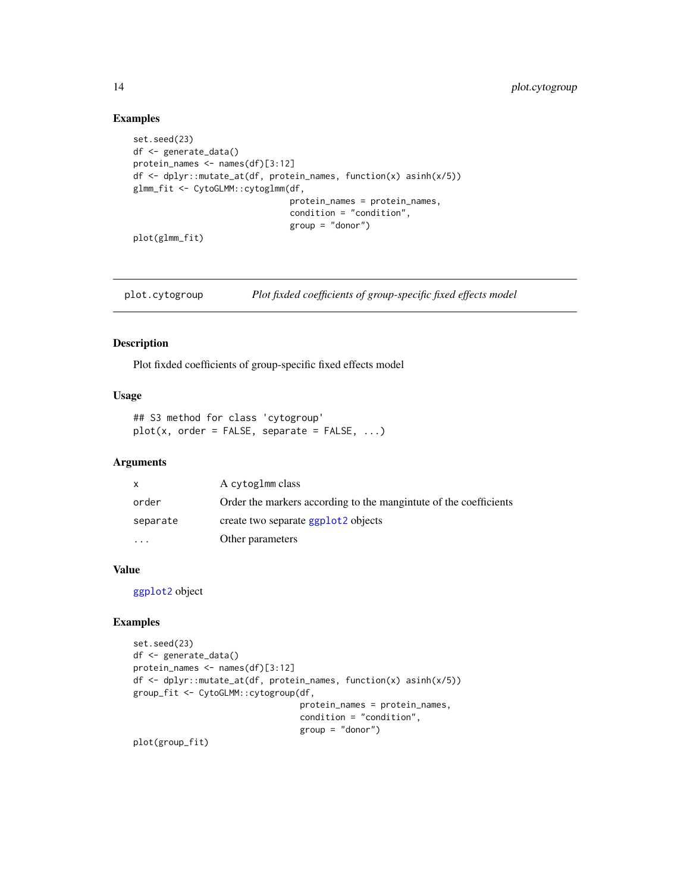#### Examples

```
set.seed(23)
df <- generate_data()
protein_names <- names(df)[3:12]
df <- dplyr::mutate_at(df, protein_names, function(x) asinh(x/5))
glmm_fit <- CytoGLMM::cytoglmm(df,
                               protein_names = protein_names,
                               condition = "condition",
                               group = "donor")
```
plot(glmm\_fit)

plot.cytogroup *Plot fixded coefficients of group-specific fixed effects model*

#### Description

Plot fixded coefficients of group-specific fixed effects model

# Usage

```
## S3 method for class 'cytogroup'
plot(x, order = FALSE, separate = FALSE, ...)
```
#### Arguments

| X        | A cytoglmm class                                                  |
|----------|-------------------------------------------------------------------|
| order    | Order the markers according to the mangintute of the coefficients |
| separate | create two separate ggplot <sub>2</sub> objects                   |
| $\cdots$ | Other parameters                                                  |

# Value

[ggplot2](#page-0-0) object

#### Examples

```
set.seed(23)
df <- generate_data()
protein_names <- names(df)[3:12]
df <- dplyr::mutate_at(df, protein_names, function(x) asinh(x/5))
group_fit <- CytoGLMM::cytogroup(df,
                                 protein_names = protein_names,
                                 condition = "condition",
                                 group = "donor")
```
plot(group\_fit)

<span id="page-13-0"></span>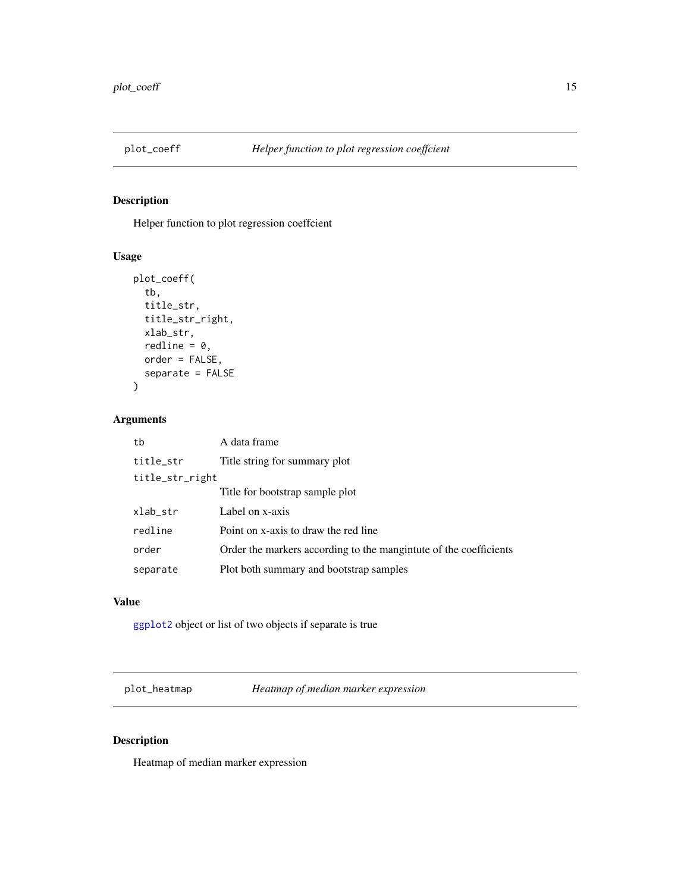<span id="page-14-0"></span>

# Description

Helper function to plot regression coeffcient

# Usage

```
plot_coeff(
  tb,
  title_str,
  title_str_right,
  xlab_str,
  redline = 0,
 order = FALSE,
  separate = FALSE
)
```
# Arguments

| tb              | A data frame                                                      |
|-----------------|-------------------------------------------------------------------|
| title_str       | Title string for summary plot                                     |
| title_str_right |                                                                   |
|                 | Title for bootstrap sample plot                                   |
| xlab_str        | Label on x-axis                                                   |
| redline         | Point on x-axis to draw the red line                              |
| order           | Order the markers according to the mangintute of the coefficients |
| separate        | Plot both summary and bootstrap samples                           |

# Value

[ggplot2](#page-0-0) object or list of two objects if separate is true

plot\_heatmap *Heatmap of median marker expression*

# Description

Heatmap of median marker expression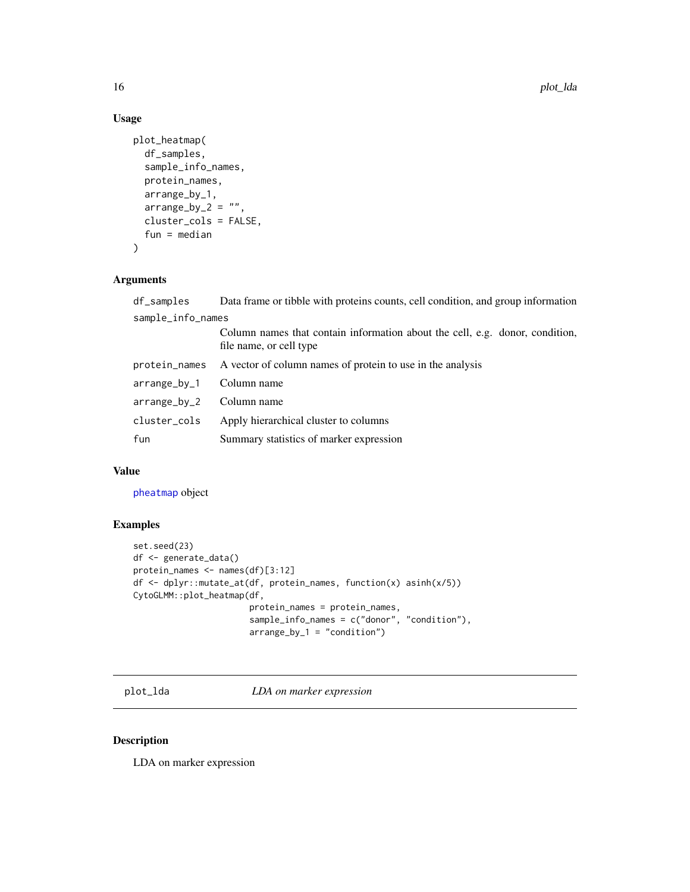# Usage

```
plot_heatmap(
 df_samples,
  sample_info_names,
 protein_names,
 arrange_by_1,
  arraye_by_2 = "",cluster_cols = FALSE,
 fun = median
)
```
# Arguments

| df_samples        | Data frame or tibble with proteins counts, cell condition, and group information                        |
|-------------------|---------------------------------------------------------------------------------------------------------|
| sample_info_names |                                                                                                         |
|                   | Column names that contain information about the cell, e.g. donor, condition,<br>file name, or cell type |
| protein_names     | A vector of column names of protein to use in the analysis                                              |
| arrange_by_1      | Column name                                                                                             |
| arrange_by_2      | Column name                                                                                             |
| cluster_cols      | Apply hierarchical cluster to columns                                                                   |
| fun               | Summary statistics of marker expression                                                                 |
|                   |                                                                                                         |

# Value

[pheatmap](#page-0-0) object

# Examples

```
set.seed(23)
df <- generate_data()
protein_names <- names(df)[3:12]
df <- dplyr::mutate_at(df, protein_names, function(x) asinh(x/5))
CytoGLMM::plot_heatmap(df,
                       protein_names = protein_names,
                       sample_info_names = c("donor", "condition"),
                       arrange_by_1 = "condition")
```
plot\_lda *LDA on marker expression*

# Description

LDA on marker expression

<span id="page-15-0"></span>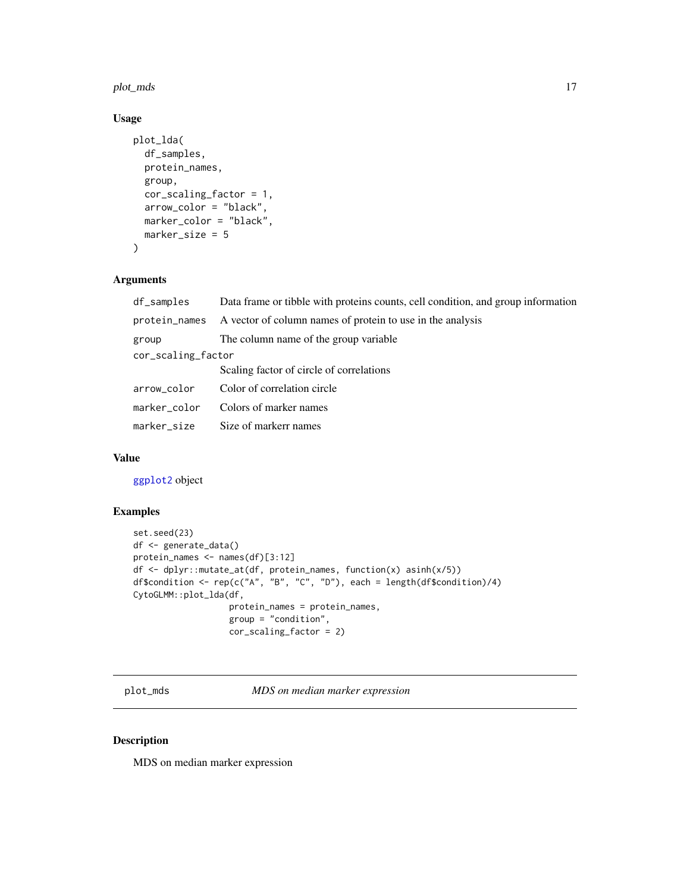<span id="page-16-0"></span>plot\_mds 17

#### Usage

```
plot_lda(
  df_samples,
 protein_names,
  group,
 cor_scaling_factor = 1,
  arrow_color = "black",
 marker_color = "black",
 marker_size = 5
)
```
# Arguments

| df_samples         | Data frame or tibble with proteins counts, cell condition, and group information |  |
|--------------------|----------------------------------------------------------------------------------|--|
| protein_names      | A vector of column names of protein to use in the analysis                       |  |
| group              | The column name of the group variable                                            |  |
| cor_scaling_factor |                                                                                  |  |
|                    | Scaling factor of circle of correlations                                         |  |
| arrow_color        | Color of correlation circle                                                      |  |
| marker_color       | Colors of marker names                                                           |  |
| marker_size        | Size of markerr names                                                            |  |

# Value

[ggplot2](#page-0-0) object

# Examples

```
set.seed(23)
df <- generate_data()
protein_names <- names(df)[3:12]
df <- dplyr::mutate_at(df, protein_names, function(x) asinh(x/5))
df$condition <- rep(c("A", "B", "C", "D"), each = length(df$condition)/4)
CytoGLMM::plot_lda(df,
                   protein_names = protein_names,
                   group = "condition",
                   cor_scaling_factor = 2)
```
plot\_mds *MDS on median marker expression*

# Description

MDS on median marker expression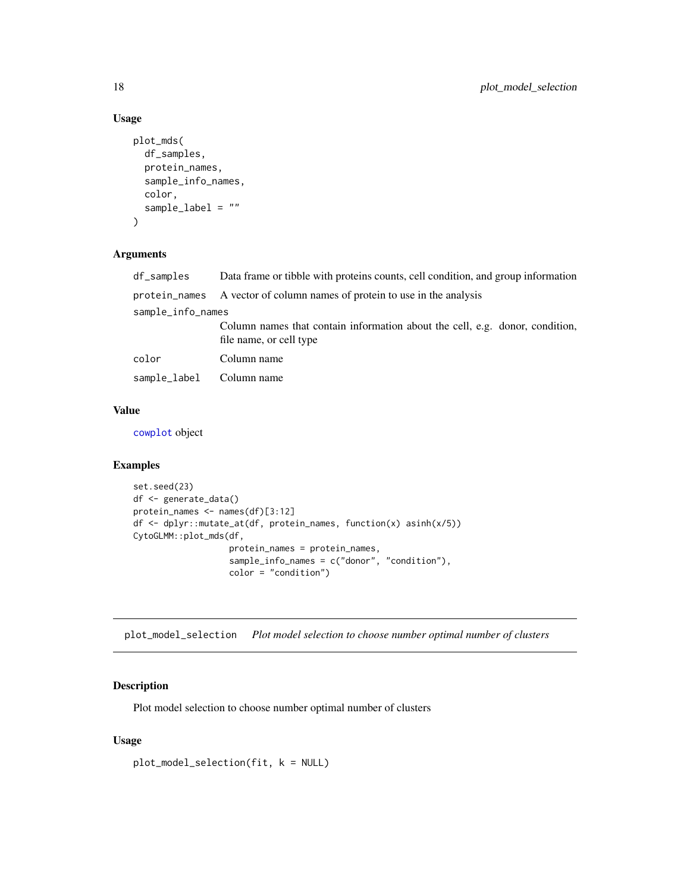# Usage

```
plot_mds(
  df_samples,
 protein_names,
  sample_info_names,
 color,
  sample_label = ""
)
```
# Arguments

| df_samples        | Data frame or tibble with proteins counts, cell condition, and group information                        |
|-------------------|---------------------------------------------------------------------------------------------------------|
|                   | protein_names A vector of column names of protein to use in the analysis                                |
| sample_info_names |                                                                                                         |
|                   | Column names that contain information about the cell, e.g. donor, condition,<br>file name, or cell type |
| color             | Column name                                                                                             |
| sample_label      | Column name                                                                                             |

# Value

[cowplot](#page-0-0) object

## Examples

```
set.seed(23)
df <- generate_data()
protein_names <- names(df)[3:12]
df <- dplyr::mutate_at(df, protein_names, function(x) asinh(x/5))
CytoGLMM::plot_mds(df,
                   protein_names = protein_names,
                   sample_info_names = c("donor", "condition"),
                  color = "condition")
```
plot\_model\_selection *Plot model selection to choose number optimal number of clusters*

#### Description

Plot model selection to choose number optimal number of clusters

#### Usage

```
plot_model_selection(fit, k = NULL)
```
<span id="page-17-0"></span>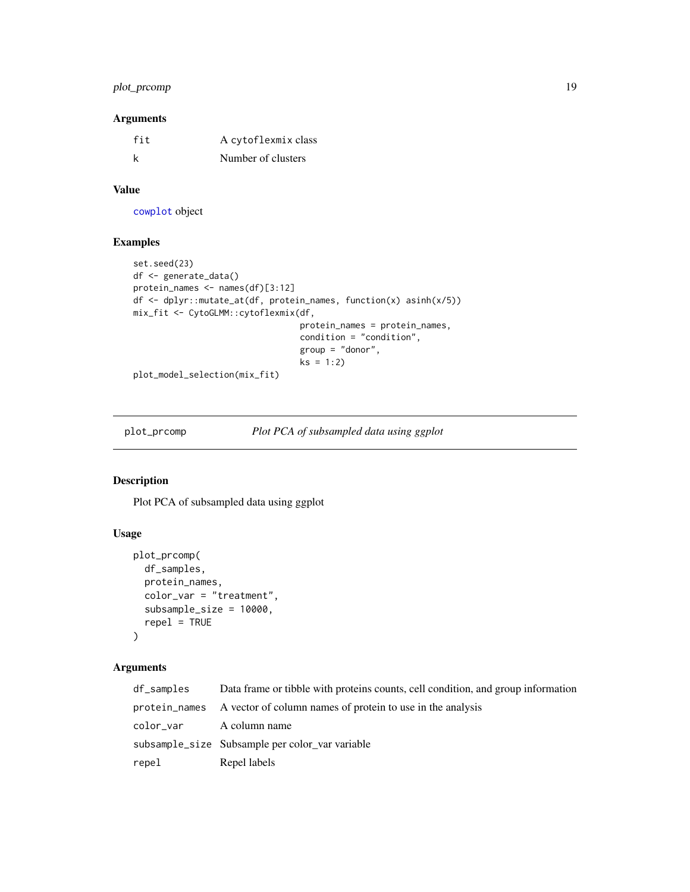# <span id="page-18-0"></span>plot\_prcomp 19

#### Arguments

| fit | A cytoflexmix class |
|-----|---------------------|
| k   | Number of clusters  |

#### Value

[cowplot](#page-0-0) object

## Examples

```
set.seed(23)
df <- generate_data()
protein_names <- names(df)[3:12]
df <- dplyr::mutate_at(df, protein_names, function(x) asinh(x/5))
mix_fit <- CytoGLMM::cytoflexmix(df,
                                 protein_names = protein_names,
                                 condition = "condition",
                                 group = "donor",
                                 ks = 1:2)
```
plot\_model\_selection(mix\_fit)

plot\_prcomp *Plot PCA of subsampled data using ggplot*

# **Description**

Plot PCA of subsampled data using ggplot

# Usage

```
plot_prcomp(
  df_samples,
  protein_names,
  color_var = "treatment",
  subsample_size = 10000,
  repel = TRUE)
```
# Arguments

| df_samples              | Data frame or tibble with proteins counts, cell condition, and group information |
|-------------------------|----------------------------------------------------------------------------------|
|                         | protein names A vector of column names of protein to use in the analysis         |
| color_var A column name |                                                                                  |
|                         | subsample_size Subsample per color var variable                                  |
| repel                   | Repel labels                                                                     |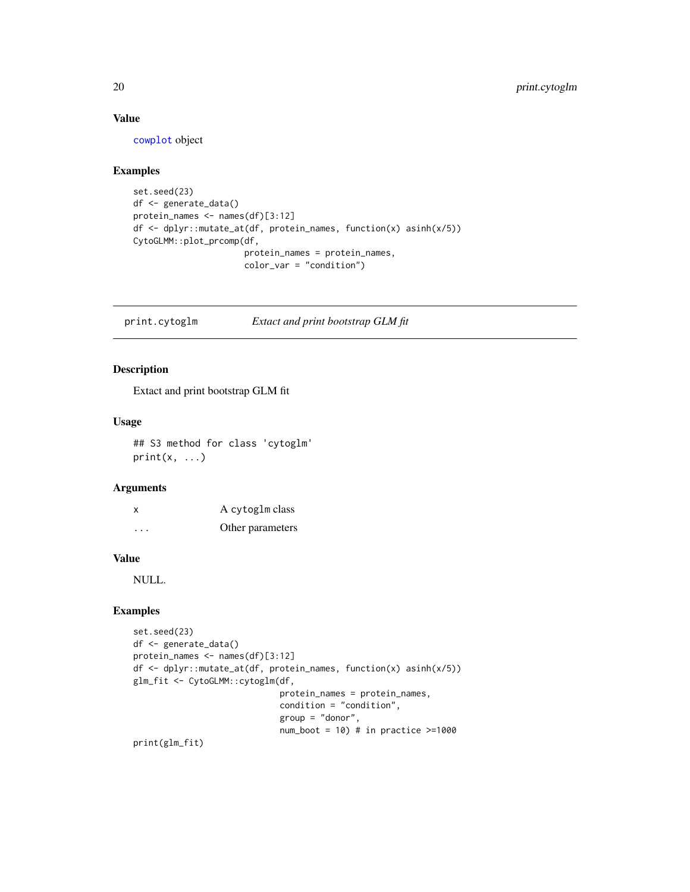#### Value

[cowplot](#page-0-0) object

# Examples

```
set.seed(23)
df <- generate_data()
protein_names <- names(df)[3:12]
df <- dplyr::mutate_at(df, protein_names, function(x) asinh(x/5))
CytoGLMM::plot_prcomp(df,
                      protein_names = protein_names,
                      color_var = "condition")
```
print.cytoglm *Extact and print bootstrap GLM fit*

# Description

Extact and print bootstrap GLM fit

#### Usage

## S3 method for class 'cytoglm'  $print(x, \ldots)$ 

#### Arguments

| X                    | A cytoglm class  |
|----------------------|------------------|
| $\ddot{\phantom{0}}$ | Other parameters |

# Value

NULL.

#### Examples

```
set.seed(23)
df <- generate_data()
protein_names <- names(df)[3:12]
df <- dplyr::mutate_at(df, protein_names, function(x) asinh(x/5))
glm_fit <- CytoGLMM::cytoglm(df,
                             protein_names = protein_names,
                             condition = "condition",
                             group = "donor",
                             num\_boot = 10) # in practice \geq 1000
```
print(glm\_fit)

<span id="page-19-0"></span>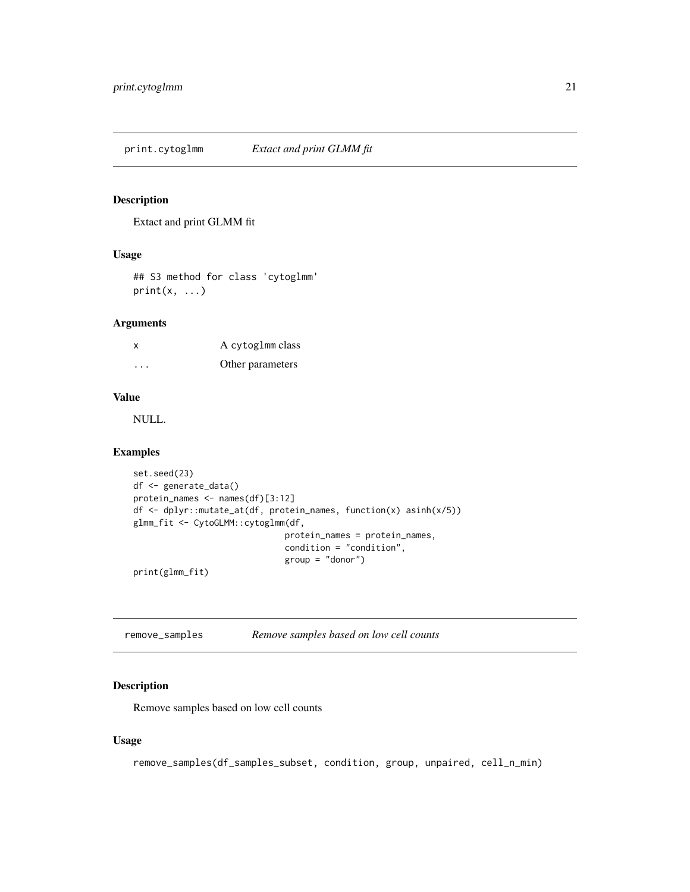<span id="page-20-0"></span>print.cytoglmm *Extact and print GLMM fit*

#### Description

Extact and print GLMM fit

#### Usage

## S3 method for class 'cytoglmm'  $print(x, \ldots)$ 

#### Arguments

| X       | A cytoglmm class |
|---------|------------------|
| $\cdot$ | Other parameters |

#### Value

NULL.

#### Examples

```
set.seed(23)
df <- generate_data()
protein_names <- names(df)[3:12]
df <- dplyr::mutate_at(df, protein_names, function(x) asinh(x/5))
glmm_fit <- CytoGLMM::cytoglmm(df,
                              protein_names = protein_names,
                              condition = "condition",
                              group = "donor")
```
print(glmm\_fit)

remove\_samples *Remove samples based on low cell counts*

#### Description

Remove samples based on low cell counts

#### Usage

remove\_samples(df\_samples\_subset, condition, group, unpaired, cell\_n\_min)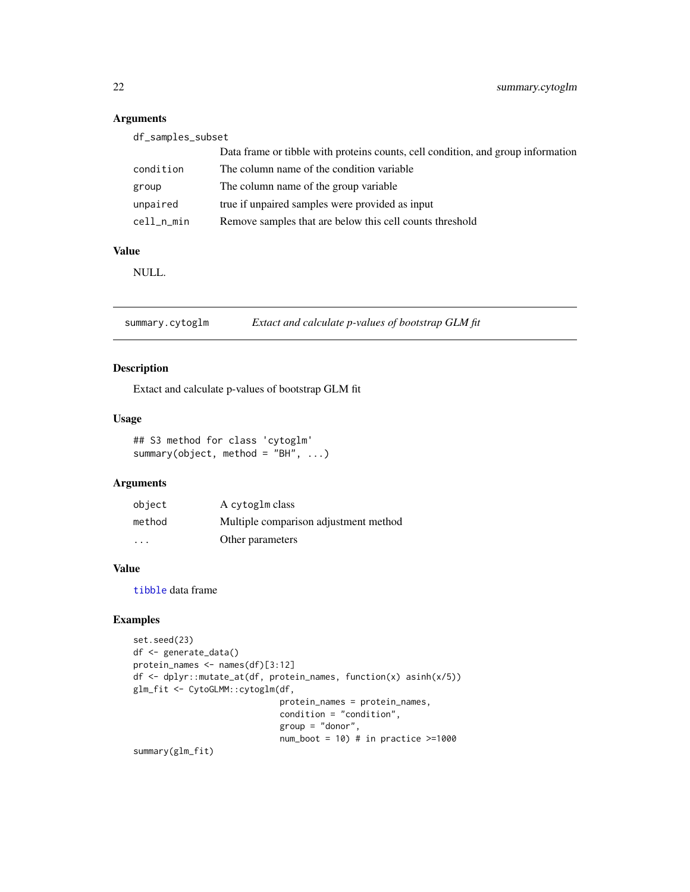#### Arguments

| df_samples_subset |                                                                                  |  |
|-------------------|----------------------------------------------------------------------------------|--|
|                   | Data frame or tibble with proteins counts, cell condition, and group information |  |
| condition         | The column name of the condition variable                                        |  |
| group             | The column name of the group variable.                                           |  |
| unpaired          | true if unpaired samples were provided as input                                  |  |
| cell_n_min        | Remove samples that are below this cell counts threshold                         |  |

#### Value

NULL.

summary.cytoglm *Extact and calculate p-values of bootstrap GLM fit*

#### Description

Extact and calculate p-values of bootstrap GLM fit

#### Usage

```
## S3 method for class 'cytoglm'
summary(object, method = "BH", ...)
```
# Arguments

| object                  | A cytoglm class                       |
|-------------------------|---------------------------------------|
| method                  | Multiple comparison adjustment method |
| $\cdot$ $\cdot$ $\cdot$ | Other parameters                      |

#### Value

[tibble](#page-0-0) data frame

# Examples

```
set.seed(23)
df <- generate_data()
protein_names <- names(df)[3:12]
df <- dplyr::mutate_at(df, protein_names, function(x) asinh(x/5))
glm_fit <- CytoGLMM::cytoglm(df,
                             protein_names = protein_names,
                             condition = "condition",
                             group = "donor",
                             num\_boot = 10) # in practice >=1000
```
summary(glm\_fit)

<span id="page-21-0"></span>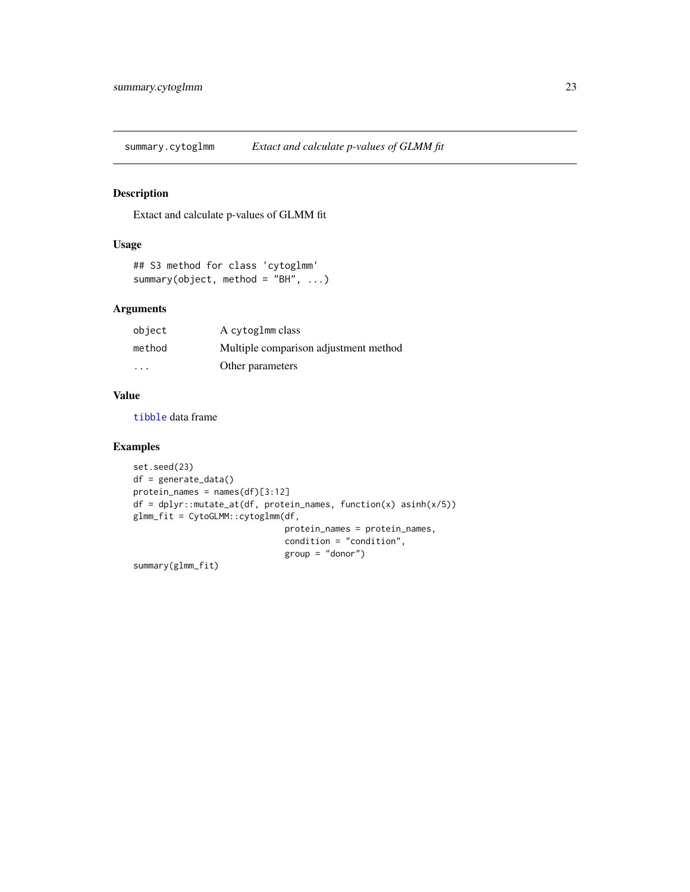<span id="page-22-0"></span>summary.cytoglmm *Extact and calculate p-values of GLMM fit*

# Description

Extact and calculate p-values of GLMM fit

# Usage

```
## S3 method for class 'cytoglmm'
summary(object, method = "BH", ...)
```
# Arguments

| object                  | A cytoglmm class                      |
|-------------------------|---------------------------------------|
| method                  | Multiple comparison adjustment method |
| $\cdot$ $\cdot$ $\cdot$ | Other parameters                      |

#### Value

[tibble](#page-0-0) data frame

#### Examples

```
set.seed(23)
df = generate_data()
protein_names = names(df)[3:12]
df = dplyr::mutate_at(df, protein_names, function(x) asinh(x/5))
glmm_fit = CytoGLMM::cytoglmm(df,
                              protein_names = protein_names,
                              condition = "condition",
                              group = "donor")
```
summary(glmm\_fit)